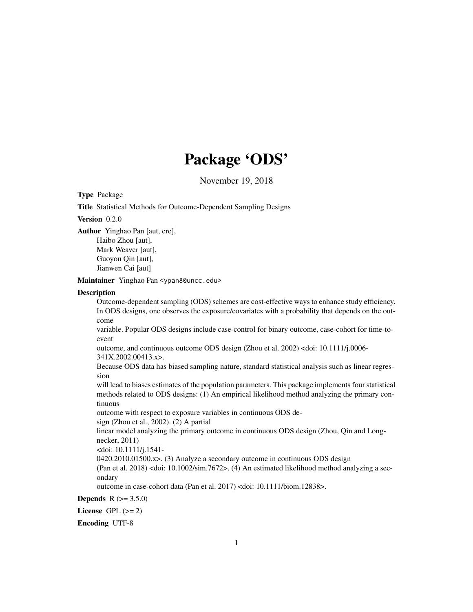# Package 'ODS'

November 19, 2018

Type Package

Title Statistical Methods for Outcome-Dependent Sampling Designs

Version 0.2.0

Author Yinghao Pan [aut, cre],

Haibo Zhou [aut], Mark Weaver [aut], Guoyou Qin [aut], Jianwen Cai [aut]

Maintainer Yinghao Pan <ypan8@uncc.edu>

#### **Description**

Outcome-dependent sampling (ODS) schemes are cost-effective ways to enhance study efficiency. In ODS designs, one observes the exposure/covariates with a probability that depends on the outcome

variable. Popular ODS designs include case-control for binary outcome, case-cohort for time-toevent

outcome, and continuous outcome ODS design (Zhou et al. 2002) <doi: 10.1111/j.0006- 341X.2002.00413.x>.

Because ODS data has biased sampling nature, standard statistical analysis such as linear regression

will lead to biases estimates of the population parameters. This package implements four statistical methods related to ODS designs: (1) An empirical likelihood method analyzing the primary continuous

outcome with respect to exposure variables in continuous ODS de-

sign (Zhou et al., 2002). (2) A partial

linear model analyzing the primary outcome in continuous ODS design (Zhou, Qin and Longnecker, 2011)

<doi: 10.1111/j.1541-

0420.2010.01500.x>. (3) Analyze a secondary outcome in continuous ODS design

(Pan et al. 2018) <doi: 10.1002/sim.7672>. (4) An estimated likelihood method analyzing a secondary

outcome in case-cohort data (Pan et al. 2017) <doi: 10.1111/biom.12838>.

**Depends**  $R (= 3.5.0)$ 

License GPL  $(>= 2)$ 

Encoding UTF-8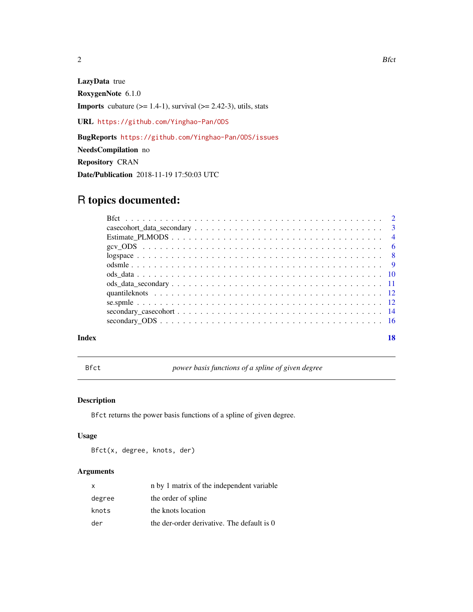<span id="page-1-0"></span>

# LazyData true

RoxygenNote 6.1.0

**Imports** cubature  $(>= 1.4-1)$ , survival  $(>= 2.42-3)$ , utils, stats

URL <https://github.com/Yinghao-Pan/ODS>

BugReports <https://github.com/Yinghao-Pan/ODS/issues>

NeedsCompilation no

Repository CRAN

Date/Publication 2018-11-19 17:50:03 UTC

# R topics documented:

| Index | 18 |
|-------|----|

Bfct *power basis functions of a spline of given degree*

# Description

Bfct returns the power basis functions of a spline of given degree.

# Usage

Bfct(x, degree, knots, der)

# Arguments

| x      | n by 1 matrix of the independent variable  |
|--------|--------------------------------------------|
| degree | the order of spline                        |
| knots  | the knots location                         |
| der    | the der-order derivative. The default is 0 |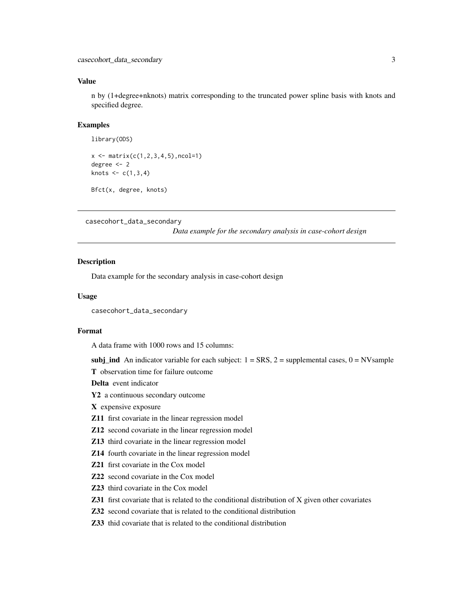# <span id="page-2-0"></span>Value

n by (1+degree+nknots) matrix corresponding to the truncated power spline basis with knots and specified degree.

# Examples

```
library(ODS)
```

```
x \leftarrow \text{matrix}(c(1, 2, 3, 4, 5), ncol=1)degree <- 2
knots <-c(1,3,4)
```

```
casecohort_data_secondary
```
Bfct(x, degree, knots)

*Data example for the secondary analysis in case-cohort design*

# Description

Data example for the secondary analysis in case-cohort design

# Usage

casecohort\_data\_secondary

# Format

A data frame with 1000 rows and 15 columns:

subj\_ind An indicator variable for each subject:  $1 = \text{SRS}, 2 = \text{supplemental cases}, 0 = \text{NVsample}$ 

T observation time for failure outcome

Delta event indicator

Y2 a continuous secondary outcome

X expensive exposure

- Z11 first covariate in the linear regression model
- Z12 second covariate in the linear regression model
- Z13 third covariate in the linear regression model
- Z14 fourth covariate in the linear regression model
- Z21 first covariate in the Cox model
- Z22 second covariate in the Cox model
- Z23 third covariate in the Cox model
- Z31 first covariate that is related to the conditional distribution of X given other covariates
- Z32 second covariate that is related to the conditional distribution

Z33 thid covariate that is related to the conditional distribution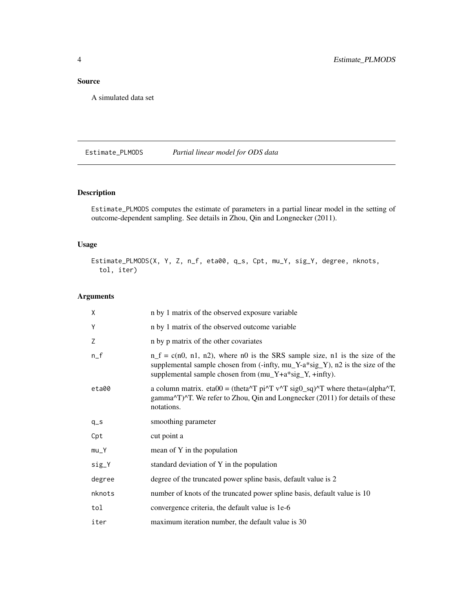# <span id="page-3-0"></span>Source

A simulated data set

Estimate\_PLMODS *Partial linear model for ODS data*

# Description

Estimate\_PLMODS computes the estimate of parameters in a partial linear model in the setting of outcome-dependent sampling. See details in Zhou, Qin and Longnecker (2011).

# Usage

Estimate\_PLMODS(X, Y, Z, n\_f, eta00, q\_s, Cpt, mu\_Y, sig\_Y, degree, nknots, tol, iter)

# Arguments

| X      | n by 1 matrix of the observed exposure variable                                                                                                                                                                             |
|--------|-----------------------------------------------------------------------------------------------------------------------------------------------------------------------------------------------------------------------------|
| Y      | n by 1 matrix of the observed outcome variable                                                                                                                                                                              |
| Z      | n by p matrix of the other covariates                                                                                                                                                                                       |
| $n_f$  | $n_f = c(n0, n1, n2)$ , where no is the SRS sample size, n i is the size of the<br>supplemental sample chosen from (-infty, mu_Y-a*sig_Y), n2 is the size of the<br>supplemental sample chosen from (mu_Y+a*sig_Y, +infty). |
| eta00  | a column matrix. eta $0 = (theta^T p i^T v^T s i g 0_s q)^T$ where theta=(alpha <sup><math>\alpha</math></sup> T,<br>gamma^T)^T. We refer to Zhou, Qin and Longnecker (2011) for details of these<br>notations.             |
| $q_s$  | smoothing parameter                                                                                                                                                                                                         |
| Cpt    | cut point a                                                                                                                                                                                                                 |
| $mu_Y$ | mean of $Y$ in the population                                                                                                                                                                                               |
| sig_Y  | standard deviation of Y in the population                                                                                                                                                                                   |
| degree | degree of the truncated power spline basis, default value is 2                                                                                                                                                              |
| nknots | number of knots of the truncated power spline basis, default value is 10                                                                                                                                                    |
| tol    | convergence criteria, the default value is 1e-6                                                                                                                                                                             |
| iter   | maximum iteration number, the default value is 30                                                                                                                                                                           |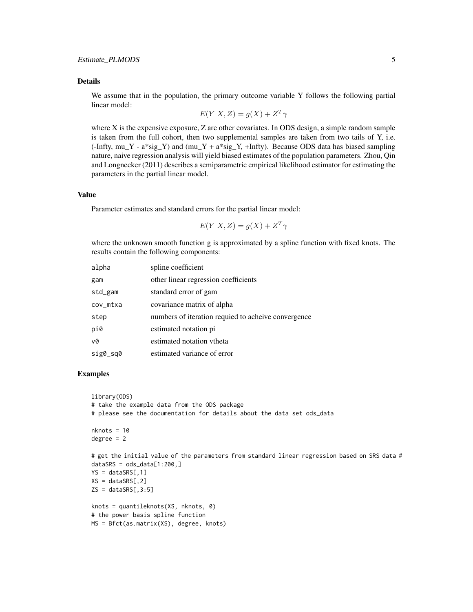#### Details

We assume that in the population, the primary outcome variable Y follows the following partial linear model:

$$
E(Y|X, Z) = g(X) + Z^T \gamma
$$

where X is the expensive exposure, Z are other covariates. In ODS design, a simple random sample is taken from the full cohort, then two supplemental samples are taken from two tails of Y, i.e.  $(-\text{Infty Y - a} * \text{sig}_Y)$  and  $(mu_Y + a * \text{sig}_Y, +\text{Infty})$ . Because ODS data has biased sampling nature, naive regression analysis will yield biased estimates of the population parameters. Zhou, Qin and Longnecker (2011) describes a semiparametric empirical likelihood estimator for estimating the parameters in the partial linear model.

#### Value

Parameter estimates and standard errors for the partial linear model:

$$
E(Y|X,Z) = g(X) + Z^T \gamma
$$

where the unknown smooth function g is approximated by a spline function with fixed knots. The results contain the following components:

| alpha    | spline coefficient                                  |
|----------|-----------------------------------------------------|
| gam      | other linear regression coefficients                |
| std_gam  | standard error of gam                               |
| cov_mtxa | covariance matrix of alpha                          |
| step     | numbers of iteration requied to acheive convergence |
| pi0      | estimated notation pi                               |
| v0       | estimated notation vtheta                           |
| sig0_sq0 | estimated variance of error                         |

```
library(ODS)
# take the example data from the ODS package
# please see the documentation for details about the data set ods_data
nknots = 10
degree = 2# get the initial value of the parameters from standard linear regression based on SRS data #
dataSRS = ods_data[1:200, ]YS = dataSRS[, 1]XS = dataSRS[, 2]ZS = dataSRS[, 3:5]knots = quantileknots(XS, nknots, 0)
# the power basis spline function
MS = Bfct(as.matrix(XS), degree, knots)
```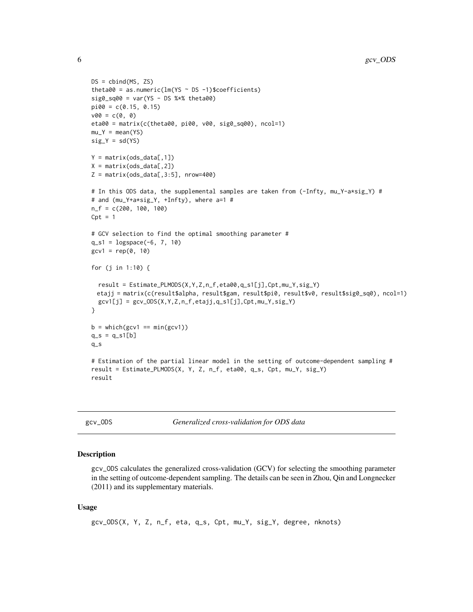```
DS = \text{cbind(MS, ZS)}theta00 = as.numeric(lm(YS \sim DS -1)$coefficients)
sig0_sq00 = var(YS - DS %*% theta00)pi00 = c(0.15, 0.15)v00 = c(0, 0)eta00 = matrix(c(theta00, pi00, v00, sig0_sq00), ncol=1)
mu_Y = mean(YS)
sig_Y = sd(YS)Y = matrix(ods_data[, 1])X = matrix(ods_data[, 2])Z = matrix(ods_data[, 3:5], nrow=400)# In this ODS data, the supplemental samples are taken from (-Infty, mu_Y-a*sig_Y) #
# and (mu_Y+a*sig_Y, +Infty), where a=1 #
n_f = c(200, 100, 100)
Cpt = 1# GCV selection to find the optimal smoothing parameter #
q_s1 = \text{logspace}(-6, 7, 10)gcv1 = rep(0, 10)for (j in 1:10) {
  result = Estimate_PLMODS(X,Y,Z,n_f,eta00,q_s1[j],Cpt,mu_Y,sig_Y)
 etajj = matrix(c(result$alpha, result$gam, result$pi0, result$v0, result$sig0_sq0), ncol=1)
  gcv1[j] = gcv_0DS(X, Y, Z, n_f, etajj, q_s1[j], Cpt, mu_Y, sig_Y)}
b = which(gcv1 == min(gcv1))q_s = q_s1[b]q_s
# Estimation of the partial linear model in the setting of outcome-dependent sampling #
result = Estimate_PLMODS(X, Y, Z, n_f, eta00, q_s, Cpt, mu_Y, sig_Y)
result
```

| gcv | <b>ODS</b> |
|-----|------------|
|     |            |

Generalized cross-validation for ODS data

# Description

gcv\_ODS calculates the generalized cross-validation (GCV) for selecting the smoothing parameter in the setting of outcome-dependent sampling. The details can be seen in Zhou, Qin and Longnecker (2011) and its supplementary materials.

#### Usage

```
gcv_ODS(X, Y, Z, n_f, eta, q_s, Cpt, mu_Y, sig_Y, degree, nknots)
```
<span id="page-5-0"></span>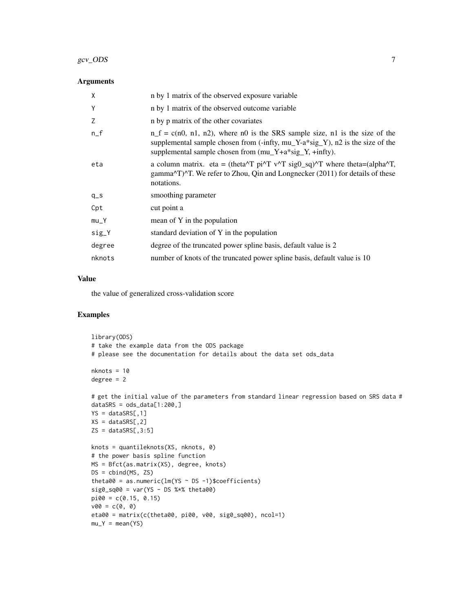#### $gcv\_ODS$  7

# Arguments

| X      | n by 1 matrix of the observed exposure variable                                                                                                                                                                                                                                             |
|--------|---------------------------------------------------------------------------------------------------------------------------------------------------------------------------------------------------------------------------------------------------------------------------------------------|
| Y      | n by 1 matrix of the observed outcome variable                                                                                                                                                                                                                                              |
| Z      | n by p matrix of the other covariates                                                                                                                                                                                                                                                       |
| $n_f$  | $n_f = c(n0, n1, n2)$ , where no is the SRS sample size, n1 is the size of the<br>supplemental sample chosen from (-infty, mu_Y-a*sig_Y), n2 is the size of the<br>supplemental sample chosen from (mu_Y+a*sig_Y, +infty).                                                                  |
| eta    | a column matrix. eta = (theta <sup><math>\wedge</math></sup> T pi $\wedge$ <sup>T</sup> v $\wedge$ <sup>T</sup> sig $0$ _sq) $\wedge$ <sup>T</sup> where theta=(alpha $\wedge$ <sup>T</sup> ,<br>gamma^T)^T. We refer to Zhou, Qin and Longnecker (2011) for details of these<br>notations. |
| $q_s$  | smoothing parameter                                                                                                                                                                                                                                                                         |
| Cpt    | cut point a                                                                                                                                                                                                                                                                                 |
| $mu_Y$ | mean of Y in the population                                                                                                                                                                                                                                                                 |
| sig_Y  | standard deviation of Y in the population                                                                                                                                                                                                                                                   |
| degree | degree of the truncated power spline basis, default value is 2                                                                                                                                                                                                                              |
| nknots | number of knots of the truncated power spline basis, default value is 10                                                                                                                                                                                                                    |

# Value

the value of generalized cross-validation score

```
library(ODS)
# take the example data from the ODS package
# please see the documentation for details about the data set ods_data
nknots = 10
degree = 2
# get the initial value of the parameters from standard linear regression based on SRS data #
dataSRS = ods_data[1:200, ]YS = dataSRS[,1]
XS = dataSRS[, 2]ZS = dataSRS[, 3:5]knots = quantileknots(XS, nknots, 0)
# the power basis spline function
MS = Bfct(as.matrix(XS), degree, knots)
DS = \text{cbind}(\text{MS}, \text{ ZS})theta00 = as.numeric(lm(YS \sim DS -1)$coefficients)
sig0_sq00 = var(YS - DS %*% theta00)pi00 = c(0.15, 0.15)v00 = c(0, 0)eta00 = matrix(c(theta00, pi00, v00, sig0_sq00), ncol=1)
mu_Y = mean(YS)
```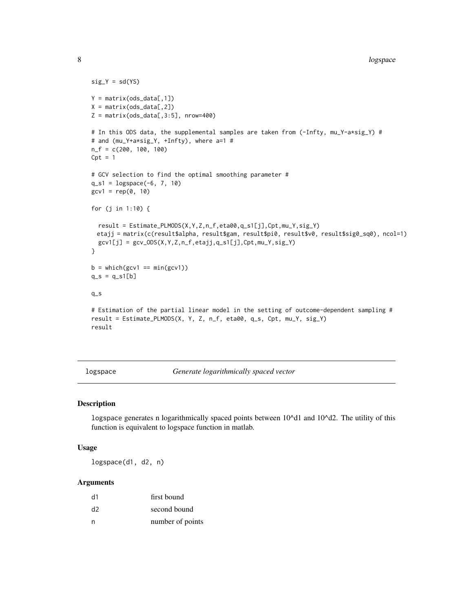```
sig_Y = sd(YS)Y = matrix(ods_data[, 1])X = matrix(ods_data[, 2])Z = matrix(ods_data[, 3:5], nrow=400)# In this ODS data, the supplemental samples are taken from (-Infty, mu_Y-a*sig_Y) #
# and (mu_Y+a*sig_Y, +Infty), where a=1 #
n_f = c(200, 100, 100)
Cpt = 1# GCV selection to find the optimal smoothing parameter #
q_s1 = \text{logspace}(-6, 7, 10)gcv1 = rep(0, 10)for (j in 1:10) {
  result = Estimate_PLMODS(X,Y,Z,n_f,eta00,q_s1[j],Cpt,mu_Y,sig_Y)
 etajj = matrix(c(result$alpha, result$gam, result$pi0, result$v0, result$sig0_sq0), ncol=1)
  gcv1[j] = gcv_0DS(X, Y, Z, n_f, etajj, q_s1[j], Cpt, mu_Y, sig_Y)}
b = which(gcv1 == min(gcv1))q_s = q_s1[b]q_s
# Estimation of the partial linear model in the setting of outcome-dependent sampling #
result = Estimate_PLMODS(X, Y, Z, n_f, eta00, q_s, Cpt, mu_Y, sig_Y)
result
```
logspace *Generate logarithmically spaced vector*

# Description

logspace generates n logarithmically spaced points between 10^d1 and 10^d2. The utility of this function is equivalent to logspace function in matlab.

# Usage

logspace(d1, d2, n)

#### Arguments

| d1 | first bound      |
|----|------------------|
| d2 | second bound     |
| n  | number of points |

<span id="page-7-0"></span>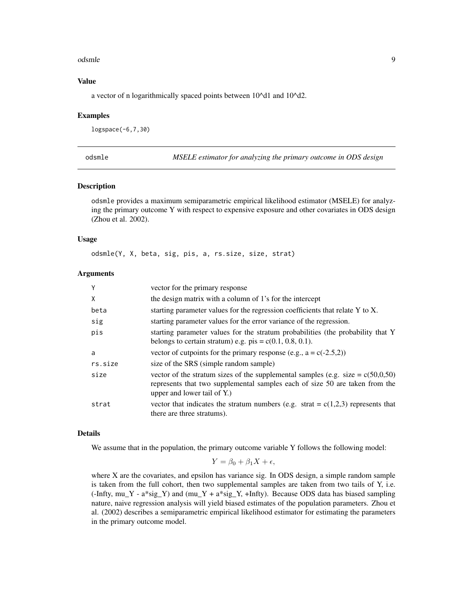#### <span id="page-8-0"></span>odsmle **9**

# Value

a vector of n logarithmically spaced points between 10^d1 and 10^d2.

# Examples

logspace(-6,7,30)

odsmle *MSELE estimator for analyzing the primary outcome in ODS design*

# Description

odsmle provides a maximum semiparametric empirical likelihood estimator (MSELE) for analyzing the primary outcome Y with respect to expensive exposure and other covariates in ODS design (Zhou et al. 2002).

# Usage

odsmle(Y, X, beta, sig, pis, a, rs.size, size, strat)

#### **Arguments**

| Y       | vector for the primary response                                                                                                                                                                   |
|---------|---------------------------------------------------------------------------------------------------------------------------------------------------------------------------------------------------|
| X       | the design matrix with a column of 1's for the intercept                                                                                                                                          |
| beta    | starting parameter values for the regression coefficients that relate Y to X.                                                                                                                     |
| sig     | starting parameter values for the error variance of the regression.                                                                                                                               |
| pis     | starting parameter values for the stratum probabilities (the probability that Y<br>belongs to certain stratum) e.g. $pis = c(0.1, 0.8, 0.1)$ .                                                    |
| a       | vector of cutpoints for the primary response (e.g., $a = c(-2.5,2)$ )                                                                                                                             |
| rs.size | size of the SRS (simple random sample)                                                                                                                                                            |
| size    | vector of the stratum sizes of the supplemental samples (e.g. size = $c(50,0,50)$ )<br>represents that two supplemental samples each of size 50 are taken from the<br>upper and lower tail of Y.) |
| strat   | vector that indicates the stratum numbers (e.g. strat = $c(1,2,3)$ ) represents that<br>there are three stratums).                                                                                |

# Details

We assume that in the population, the primary outcome variable Y follows the following model:

$$
Y = \beta_0 + \beta_1 X + \epsilon,
$$

where X are the covariates, and epsilon has variance sig. In ODS design, a simple random sample is taken from the full cohort, then two supplemental samples are taken from two tails of Y, i.e.  $(-\text{Infty Y - a} * \text{sig}_Y)$  and  $(mu_Y + a * \text{sig}_Y, +\text{Infty})$ . Because ODS data has biased sampling nature, naive regression analysis will yield biased estimates of the population parameters. Zhou et al. (2002) describes a semiparametric empirical likelihood estimator for estimating the parameters in the primary outcome model.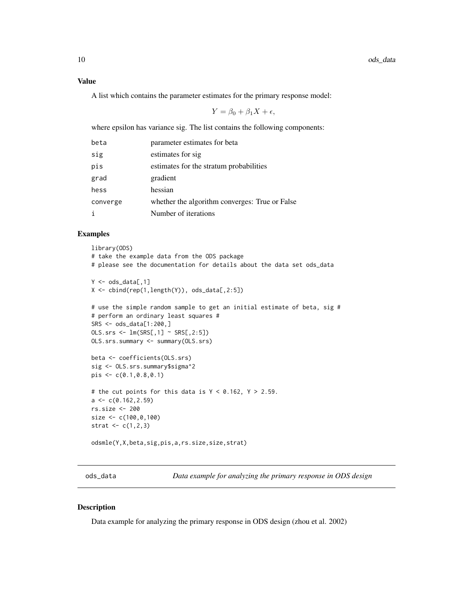# <span id="page-9-0"></span>Value

A list which contains the parameter estimates for the primary response model:

$$
Y = \beta_0 + \beta_1 X + \epsilon,
$$

where epsilon has variance sig. The list contains the following components:

| beta     | parameter estimates for beta                   |
|----------|------------------------------------------------|
| sig      | estimates for sig                              |
| pis      | estimates for the stratum probabilities        |
| grad     | gradient                                       |
| hess     | hessian                                        |
| converge | whether the algorithm converges: True or False |
|          | Number of iterations                           |

# Examples

```
library(ODS)
# take the example data from the ODS package
# please see the documentation for details about the data set ods_data
Y \leftarrow \text{ods_data}[, 1]X \leftarrow \text{cbind}(\text{rep}(1, \text{length}(Y)), \text{ods\_data}[, 2:5])# use the simple random sample to get an initial estimate of beta, sig #
# perform an ordinary least squares #
SRS <- ods_data[1:200,]
OLS.srs \leq Im(SRS[, 1] \approx SRS[, 2:5]OLS.srs.summary <- summary(OLS.srs)
beta <- coefficients(OLS.srs)
sig <- OLS.srs.summary$sigma^2
pis <- c(0.1,0.8,0.1)
# the cut points for this data is Y < 0.162, Y > 2.59.
a \leftarrow c(0.162, 2.59)rs.size <- 200
size <- c(100,0,100)
strat <-c(1,2,3)odsmle(Y,X,beta,sig,pis,a,rs.size,size,strat)
```
ods\_data *Data example for analyzing the primary response in ODS design*

# Description

Data example for analyzing the primary response in ODS design (zhou et al. 2002)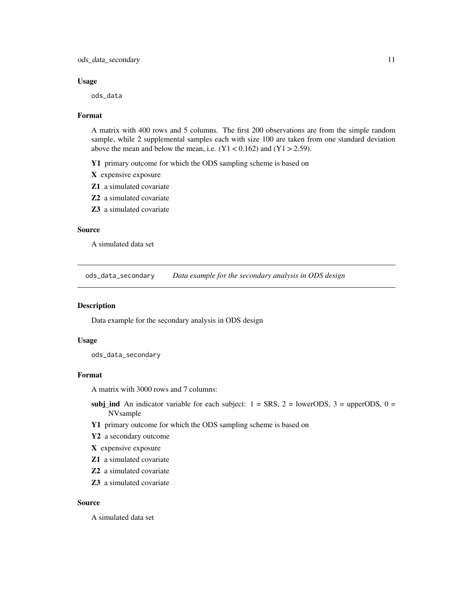#### <span id="page-10-0"></span>Usage

ods\_data

#### Format

A matrix with 400 rows and 5 columns. The first 200 observations are from the simple random sample, while 2 supplemental samples each with size 100 are taken from one standard deviation above the mean and below the mean, i.e.  $(Y1 < 0.162)$  and  $(Y1 > 2.59)$ .

Y1 primary outcome for which the ODS sampling scheme is based on

X expensive exposure

Z1 a simulated covariate

Z2 a simulated covariate

Z3 a simulated covariate

#### Source

A simulated data set

ods\_data\_secondary *Data example for the secondary analysis in ODS design*

# Description

Data example for the secondary analysis in ODS design

#### Usage

ods\_data\_secondary

# Format

A matrix with 3000 rows and 7 columns:

- subj\_ind An indicator variable for each subject:  $1 = SRS$ ,  $2 = \text{lowerODS}$ ,  $3 = \text{upperODS}$ ,  $0 =$ NVsample
- Y1 primary outcome for which the ODS sampling scheme is based on
- Y2 a secondary outcome
- X expensive exposure
- Z1 a simulated covariate
- Z2 a simulated covariate
- Z3 a simulated covariate

# Source

A simulated data set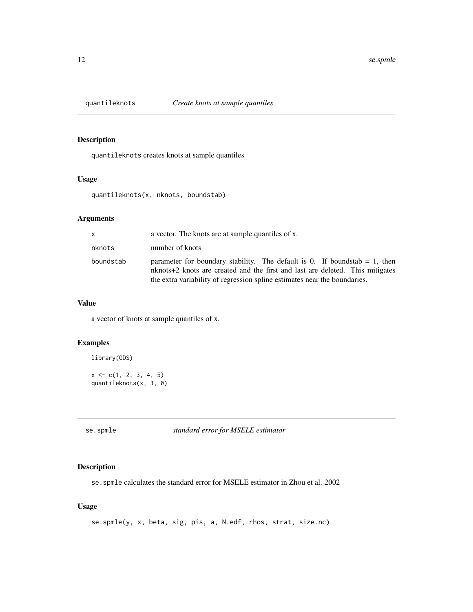<span id="page-11-0"></span>

# Description

quantileknots creates knots at sample quantiles

# Usage

quantileknots(x, nknots, boundstab)

# Arguments

| x.        | a vector. The knots are at sample quantiles of x.                                                                                                                                                                                           |
|-----------|---------------------------------------------------------------------------------------------------------------------------------------------------------------------------------------------------------------------------------------------|
| nknots    | number of knots                                                                                                                                                                                                                             |
| boundstab | parameter for boundary stability. The default is 0. If boundstab $= 1$ , then<br>nknots+2 knots are created and the first and last are deleted. This mitigates<br>the extra variability of regression spline estimates near the boundaries. |

# Value

a vector of knots at sample quantiles of x.

# Examples

library(ODS)

 $x \leq -c(1, 2, 3, 4, 5)$ quantileknots(x, 3, 0)

se.spmle *standard error for MSELE estimator*

# Description

se.spmle calculates the standard error for MSELE estimator in Zhou et al. 2002

# Usage

se.spmle(y, x, beta, sig, pis, a, N.edf, rhos, strat, size.nc)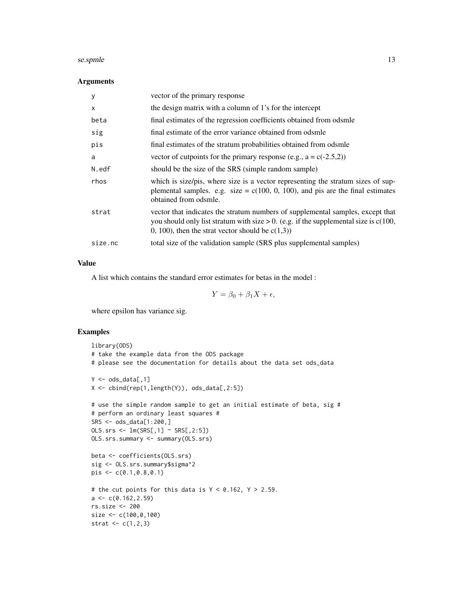#### se.spmle to the set of the set of the set of the set of the set of the set of the set of the set of the set of the set of the set of the set of the set of the set of the set of the set of the set of the set of the set of t

# Arguments

| y       | vector of the primary response                                                                                                                                                                                                       |
|---------|--------------------------------------------------------------------------------------------------------------------------------------------------------------------------------------------------------------------------------------|
| x       | the design matrix with a column of 1's for the intercept                                                                                                                                                                             |
| beta    | final estimates of the regression coefficients obtained from odsmle                                                                                                                                                                  |
| sig     | final estimate of the error variance obtained from odsmle                                                                                                                                                                            |
| pis     | final estimates of the stratum probabilities obtained from odsmle                                                                                                                                                                    |
| a       | vector of cutpoints for the primary response (e.g., $a = c(-2.5,2)$ )                                                                                                                                                                |
| N.edf   | should be the size of the SRS (simple random sample)                                                                                                                                                                                 |
| rhos    | which is size/pis, where size is a vector representing the stratum sizes of sup-<br>plemental samples. e.g. size = $c(100, 0, 100)$ , and pis are the final estimates<br>obtained from odsmle.                                       |
| strat   | vector that indicates the stratum numbers of supplemental samples, except that<br>you should only list stratum with size $> 0$ . (e.g. if the supplemental size is $c(100, 00)$<br>0, 100), then the strat vector should be $c(1,3)$ |
| size.nc | total size of the validation sample (SRS plus supplemental samples)                                                                                                                                                                  |
|         |                                                                                                                                                                                                                                      |

# Value

A list which contains the standard error estimates for betas in the model :

$$
Y = \beta_0 + \beta_1 X + \epsilon,
$$

where epsilon has variance sig.

```
library(ODS)
# take the example data from the ODS package
# please see the documentation for details about the data set ods_data
Y \leftarrow \text{ods\_data[, 1}X \leftarrow \text{cbind}(\text{rep}(1, \text{length}(Y)), \text{ods\_data}[, 2:5])# use the simple random sample to get an initial estimate of beta, sig #
# perform an ordinary least squares #
SRS <- ods_data[1:200,]
OLS.srs \leq Im(SRS[, 1] \approx SRS[, 2:5]OLS.srs.summary <- summary(OLS.srs)
beta <- coefficients(OLS.srs)
sig <- OLS.srs.summary$sigma^2
pis <- c(0.1,0.8,0.1)
# the cut points for this data is Y < 0.162, Y > 2.59.
a \leftarrow c(0.162, 2.59)rs.size <- 200
size <- c(100,0,100)
strat <-c(1,2,3)
```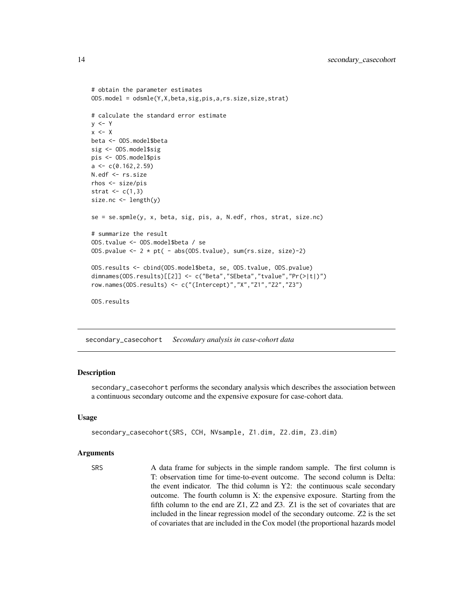```
# obtain the parameter estimates
ODS.model = odsmle(Y,X,beta,sig,pis,a,rs.size,size,strat)
# calculate the standard error estimate
y \leq - Yx < - Xbeta <- ODS.model$beta
sig <- ODS.model$sig
pis <- ODS.model$pis
a \leftarrow c(0.162, 2.59)N.edf <- rs.size
rhos <- size/pis
strat \leq c(1,3)size.nc <- length(y)
se = se.spmle(y, x, beta, sig, pis, a, N.edf, rhos, strat, size.nc)
# summarize the result
ODS.tvalue <- ODS.model$beta / se
ODS.pvalue <- 2 * pt( - abs(ODS.tvalue), sum(rs.size, size)-2)
ODS.results <- cbind(ODS.model$beta, se, ODS.tvalue, ODS.pvalue)
dimnames(ODS.results)[[2]] <- c("Beta","SEbeta","tvalue","Pr(>|t|)")
row.names(ODS.results) <- c("(Intercept)","X","Z1","Z2","Z3")
ODS.results
```
secondary\_casecohort *Secondary analysis in case-cohort data*

### Description

secondary\_casecohort performs the secondary analysis which describes the association between a continuous secondary outcome and the expensive exposure for case-cohort data.

#### Usage

```
secondary_casecohort(SRS, CCH, NVsample, Z1.dim, Z2.dim, Z3.dim)
```
#### Arguments

SRS A data frame for subjects in the simple random sample. The first column is T: observation time for time-to-event outcome. The second column is Delta: the event indicator. The thid column is Y2: the continuous scale secondary outcome. The fourth column is X: the expensive exposure. Starting from the fifth column to the end are Z1, Z2 and Z3. Z1 is the set of covariates that are included in the linear regression model of the secondary outcome. Z2 is the set of covariates that are included in the Cox model (the proportional hazards model

<span id="page-13-0"></span>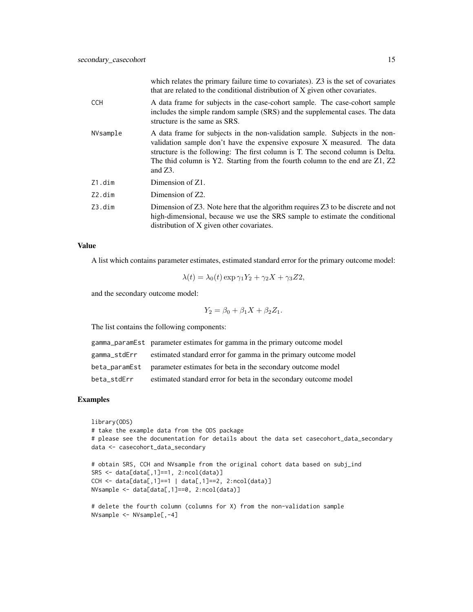|            | which relates the primary failure time to covariates). Z3 is the set of covariates<br>that are related to the conditional distribution of X given other covariates.                                                                                                                                                                      |
|------------|------------------------------------------------------------------------------------------------------------------------------------------------------------------------------------------------------------------------------------------------------------------------------------------------------------------------------------------|
| <b>CCH</b> | A data frame for subjects in the case-cohort sample. The case-cohort sample<br>includes the simple random sample (SRS) and the supplemental cases. The data<br>structure is the same as SRS.                                                                                                                                             |
| NVsample   | A data frame for subjects in the non-validation sample. Subjects in the non-<br>validation sample don't have the expensive exposure X measured. The data<br>structure is the following: The first column is T. The second column is Delta.<br>The thid column is Y2. Starting from the fourth column to the end are Z1, Z2<br>and $Z3$ . |
| Z1.dim     | Dimension of Z1.                                                                                                                                                                                                                                                                                                                         |
| Z2.dim     | Dimension of Z2.                                                                                                                                                                                                                                                                                                                         |
| Z3.dim     | Dimension of $Z3$ . Note here that the algorithm requires $Z3$ to be discrete and not<br>high-dimensional, because we use the SRS sample to estimate the conditional<br>distribution of X given other covariates.                                                                                                                        |

# Value

A list which contains parameter estimates, estimated standard error for the primary outcome model:

$$
\lambda(t) = \lambda_0(t) \exp \gamma_1 Y_2 + \gamma_2 X + \gamma_3 Z2,
$$

and the secondary outcome model:

$$
Y_2 = \beta_0 + \beta_1 X + \beta_2 Z_1.
$$

The list contains the following components:

|              | gamma_paramEst parameter estimates for gamma in the primary outcome model    |
|--------------|------------------------------------------------------------------------------|
| gamma_stdErr | estimated standard error for gamma in the primary outcome model              |
|              | beta_parametreum parameter estimates for beta in the secondary outcome model |
| beta stdErr  | estimated standard error for beta in the secondary outcome model             |

```
library(ODS)
# take the example data from the ODS package
# please see the documentation for details about the data set casecohort_data_secondary
data <- casecohort_data_secondary
# obtain SRS, CCH and NVsample from the original cohort data based on subj_ind
SRS <- data[data[,1]==1, 2:ncol(data)]
CCH <- data[data[,1]==1 | data[,1]==2, 2:ncol(data)]
NVsample <- data[data[,1]==0, 2:ncol(data)]
# delete the fourth column (columns for X) from the non-validation sample
NVsample <- NVsample[,-4]
```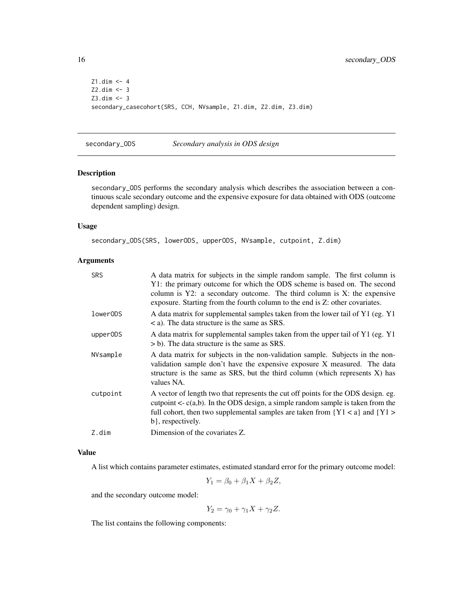```
Z1.dim <- 4
Z2.dim <- 3
Z3.dim <- 3
secondary_casecohort(SRS, CCH, NVsample, Z1.dim, Z2.dim, Z3.dim)
```

```
secondary_ODS Secondary analysis in ODS design
```
#### Description

secondary\_ODS performs the secondary analysis which describes the association between a continuous scale secondary outcome and the expensive exposure for data obtained with ODS (outcome dependent sampling) design.

# Usage

secondary\_ODS(SRS, lowerODS, upperODS, NVsample, cutpoint, Z.dim)

#### Arguments

| <b>SRS</b> | A data matrix for subjects in the simple random sample. The first column is<br>Y1: the primary outcome for which the ODS scheme is based on. The second<br>column is Y2: a secondary outcome. The third column is X: the expensive<br>exposure. Starting from the fourth column to the end is Z: other covariates. |
|------------|--------------------------------------------------------------------------------------------------------------------------------------------------------------------------------------------------------------------------------------------------------------------------------------------------------------------|
| lowerODS   | A data matrix for supplemental samples taken from the lower tail of Y1 (eg. Y1)<br>$\langle$ a). The data structure is the same as SRS.                                                                                                                                                                            |
| upperODS   | A data matrix for supplemental samples taken from the upper tail of Y1 (eg. Y1)<br>$>$ b). The data structure is the same as SRS.                                                                                                                                                                                  |
| NVsample   | A data matrix for subjects in the non-validation sample. Subjects in the non-<br>validation sample don't have the expensive exposure X measured. The data<br>structure is the same as SRS, but the third column (which represents $X$ ) has<br>values NA.                                                          |
| cutpoint   | A vector of length two that represents the cut off points for the ODS design. eg.<br>cutpoint $\langle \cdot, c(a,b) \rangle$ . In the ODS design, a simple random sample is taken from the<br>full cohort, then two supplemental samples are taken from ${Y1 < a}$ and ${Y1 > a}$<br>b}, respectively.            |
| Z.dim      | Dimension of the covariates Z.                                                                                                                                                                                                                                                                                     |

# Value

A list which contains parameter estimates, estimated standard error for the primary outcome model:

$$
Y_1 = \beta_0 + \beta_1 X + \beta_2 Z,
$$

and the secondary outcome model:

 $Y_2 = \gamma_0 + \gamma_1 X + \gamma_2 Z.$ 

The list contains the following components:

<span id="page-15-0"></span>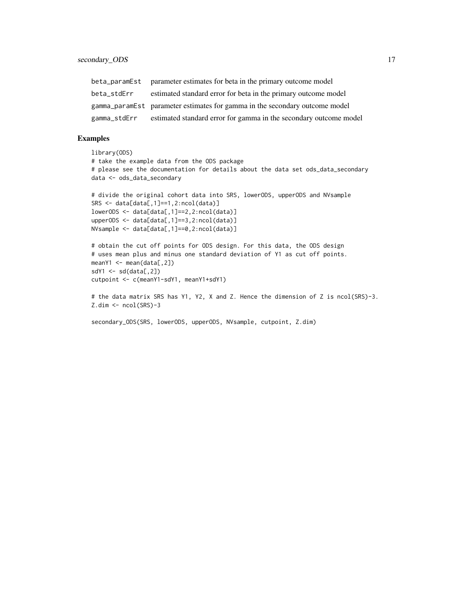|             | beta_parametral parameter estimates for betain the primary outcome model       |
|-------------|--------------------------------------------------------------------------------|
| beta_stdErr | estimated standard error for beta in the primary outcome model                 |
|             | gamma_paramEst parameter estimates for gamma in the secondary outcome model    |
|             | gamma_stdErr estimated standard error for gamma in the secondary outcome model |

```
library(ODS)
# take the example data from the ODS package
# please see the documentation for details about the data set ods_data_secondary
data <- ods_data_secondary
# divide the original cohort data into SRS, lowerODS, upperODS and NVsample
SRS <- data[data[,1]==1,2:ncol(data)]
lowerODS <- data[data[,1]==2,2:ncol(data)]
upperODS <- data[data[,1]==3,2:ncol(data)]
NVsample <- data[data[,1]==0,2:ncol(data)]
# obtain the cut off points for ODS design. For this data, the ODS design
# uses mean plus and minus one standard deviation of Y1 as cut off points.
meanY1 <- mean(data[,2])
sdY1 \leftarrow sd(data[, 2])cutpoint <- c(meanY1-sdY1, meanY1+sdY1)
# the data matrix SRS has Y1, Y2, X and Z. Hence the dimension of Z is ncol(SRS)-3.
Z.dim <- ncol(SRS)-3
secondary_ODS(SRS, lowerODS, upperODS, NVsample, cutpoint, Z.dim)
```